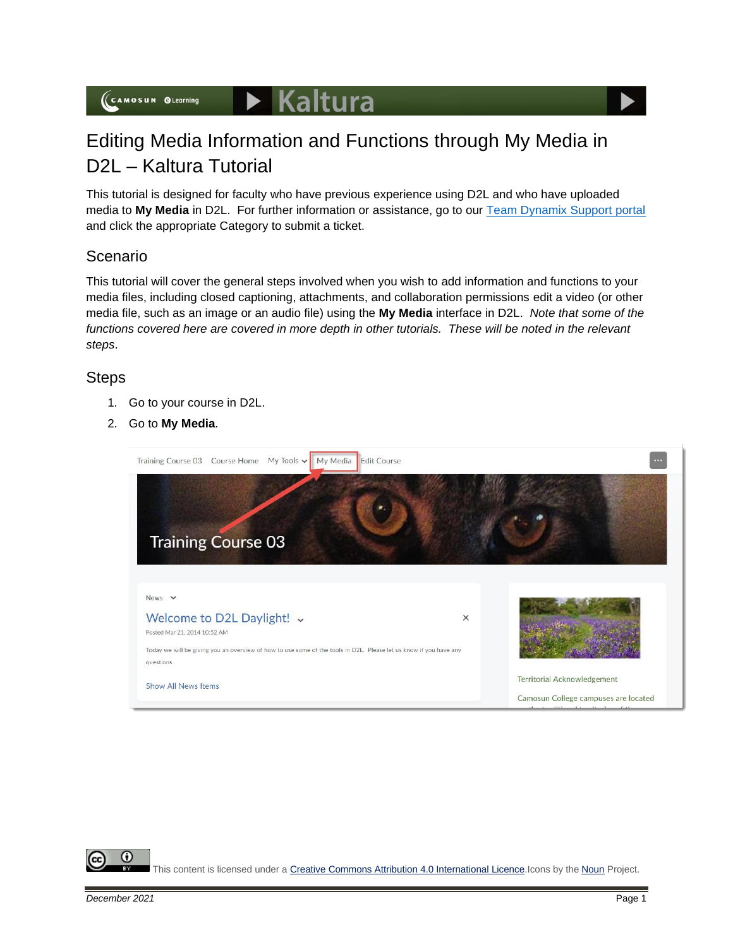

## Editing Media Information and Functions through My Media in D2L – Kaltura Tutorial

This tutorial is designed for faculty who have previous experience using D2L and who have uploaded media to **My Media** in D2L. For further information or assistance, go to our [Team Dynamix Support portal](https://camosun.teamdynamix.com/TDClient/67/Portal/Requests/ServiceCatalog?CategoryID=523) and click the appropriate Category to submit a ticket.

## Scenario

This tutorial will cover the general steps involved when you wish to add information and functions to your media files, including closed captioning, attachments, and collaboration permissions edit a video (or other media file, such as an image or an audio file) using the **My Media** interface in D2L. *Note that some of the*  functions covered here are covered in more depth in other tutorials. These will be noted in the relevant *steps*.

## **Steps**

- 1. Go to your course in D2L.
- 2. Go to **My Media**.



G

This content is licensed under [a Creative Commons Attribution 4.0 International Licence.I](https://creativecommons.org/licenses/by/4.0/)cons by the [Noun](https://creativecommons.org/website-icons/) Project.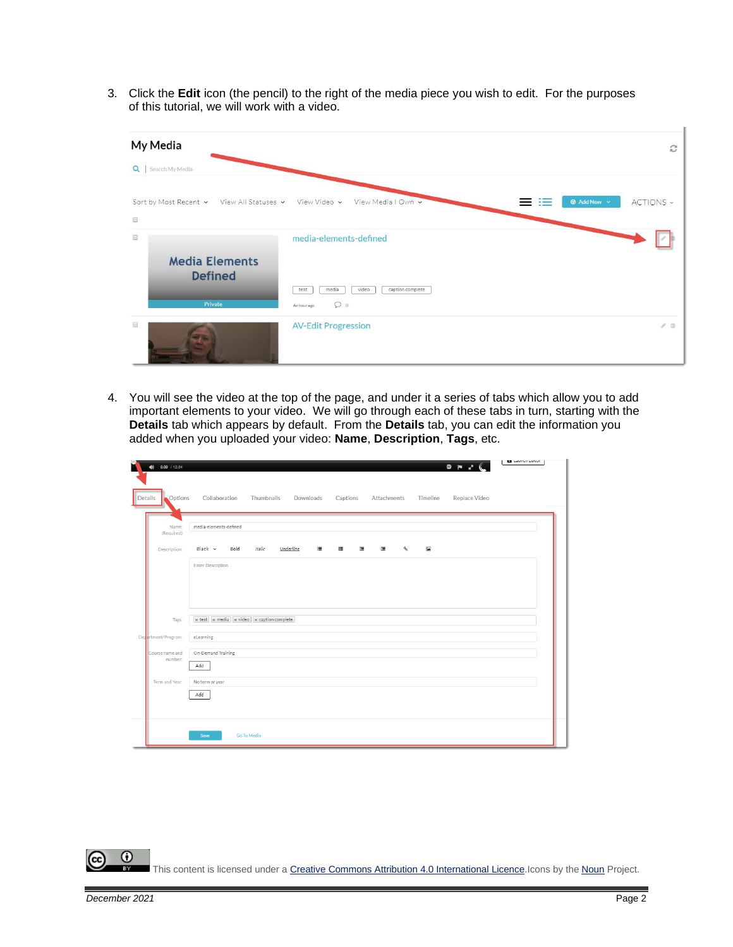3. Click the **Edit** icon (the pencil) to the right of the media piece you wish to edit. For the purposes of this tutorial, we will work with a video.

| My Media                                                                            |                                                                      | C                                           |
|-------------------------------------------------------------------------------------|----------------------------------------------------------------------|---------------------------------------------|
| Q   Search My Media                                                                 |                                                                      |                                             |
| Sort by Most Recent v View All Statuses v View Video v View Media I Own v<br>$\Box$ |                                                                      | <b>O</b> Add New $\vee$<br>ACTIONS -<br>--- |
| 国<br><b>Media Elements</b><br><b>Defined</b>                                        | media-elements-defined                                               |                                             |
| Private                                                                             | caption complete<br>video<br>media<br>test<br>$\circ$<br>An hour ago |                                             |
| 圓                                                                                   | <b>AV-Edit Progression</b>                                           | 20                                          |

4. You will see the video at the top of the page, and under it a series of tabs which allow you to add important elements to your video. We will go through each of these tabs in turn, starting with the **Details** tab which appears by default. From the **Details** tab, you can edit the information you added when you uploaded your video: **Name**, **Description**, **Tags**, etc.

| $(1)$ 0:00 / 12:04<br>n    | <b>La</b> Laurieri Lurion<br>$\bullet$ $\bullet$ $\bullet$ $\bullet$                       |
|----------------------------|--------------------------------------------------------------------------------------------|
| Options<br>Details         | Collaboration<br>Thumbnails Downloads<br>Captions Attachments<br>Timeline<br>Replace Video |
| Name:<br>(Required)        | media-elements-defined                                                                     |
| Description:               | Italic<br>$\mathcal{P}$<br>$\Box$<br>Black Y<br>Bold<br>Underline<br>医心脏<br>運じて<br>蛋       |
|                            | Enter Description                                                                          |
|                            |                                                                                            |
| Tags:                      | $\times$ test $\times$ media $\times$ video $\times$ caption complete                      |
| Detartment/Program:        | eLearning                                                                                  |
| Course name and<br>number: | On-Demand Training                                                                         |
|                            | Add                                                                                        |
| Term and Year:             | No term or year                                                                            |
|                            | Add                                                                                        |
|                            |                                                                                            |
|                            | Go To Media<br>Save                                                                        |

 $\Omega$ This content is licensed under [a Creative Commons Attribution 4.0 International Licence.I](https://creativecommons.org/licenses/by/4.0/)cons by the [Noun](https://creativecommons.org/website-icons/) Project.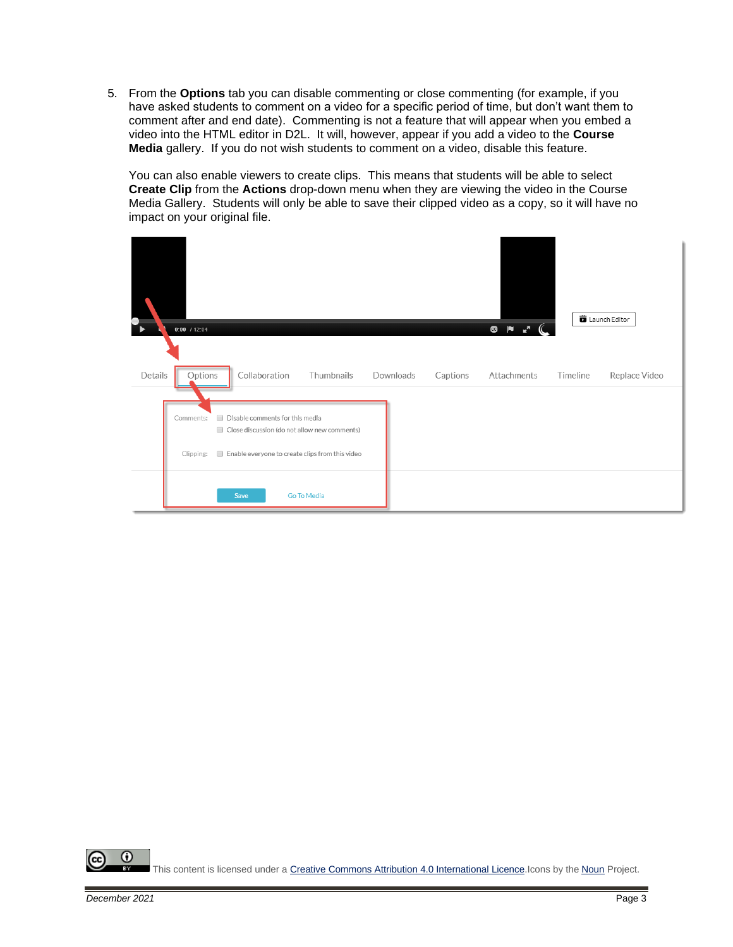5. From the **Options** tab you can disable commenting or close commenting (for example, if you have asked students to comment on a video for a specific period of time, but don't want them to comment after and end date). Commenting is not a feature that will appear when you embed a video into the HTML editor in D2L. It will, however, appear if you add a video to the **Course Media** gallery. If you do not wish students to comment on a video, disable this feature.

You can also enable viewers to create clips. This means that students will be able to select **Create Clip** from the **Actions** drop-down menu when they are viewing the video in the Course Media Gallery. Students will only be able to save their clipped video as a copy, so it will have no impact on your original file.

| $\bullet$ | $0:00$ / 12:04         |                                         |               |                                                                                                                       |           |          | <b>@Pr</b>  |          | Launch Editor |
|-----------|------------------------|-----------------------------------------|---------------|-----------------------------------------------------------------------------------------------------------------------|-----------|----------|-------------|----------|---------------|
| Details   | Options                |                                         | Collaboration | Thumbnails                                                                                                            | Downloads | Captions | Attachments | Timeline | Replace Video |
|           | Comments:<br>Clipping: | Disable comments for this media<br>Save |               | Close discussion (do not allow new comments)<br>Enable everyone to create clips from this video<br><b>Go To Media</b> |           |          |             |          |               |

 $\odot$ This content is licensed under [a Creative Commons Attribution 4.0 International Licence.I](https://creativecommons.org/licenses/by/4.0/)cons by the [Noun](https://creativecommons.org/website-icons/) Project.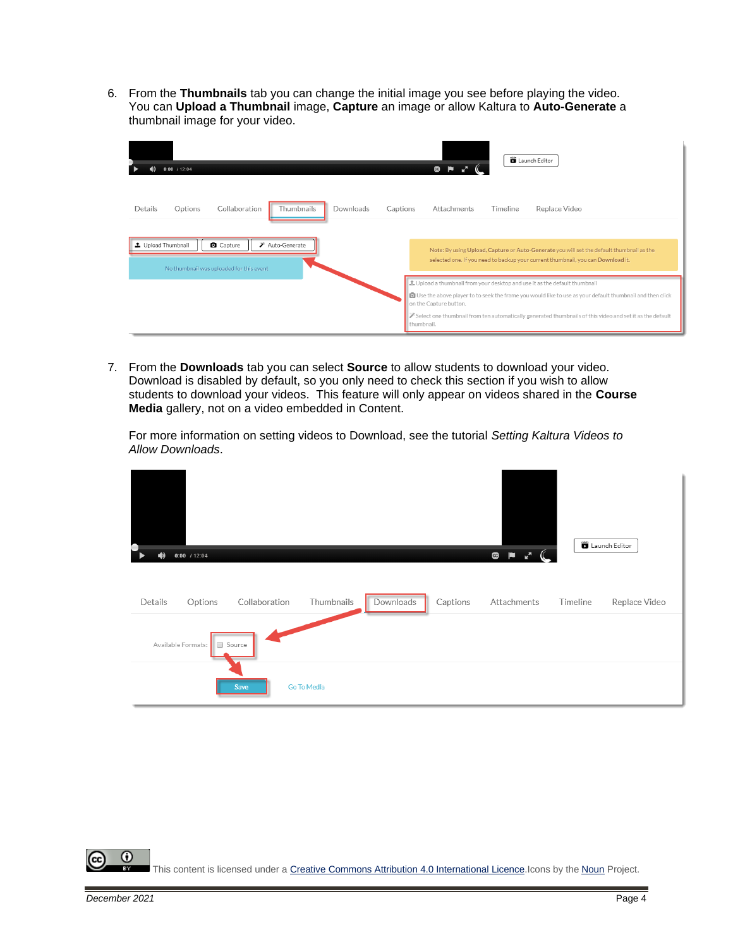6. From the **Thumbnails** tab you can change the initial image you see before playing the video. You can **Upload a Thumbnail** image, **Capture** an image or allow Kaltura to **Auto-Generate** a thumbnail image for your video.

| $0:00$ / 12:04                                                                             | <b>D</b> Launch Editor<br>$\mathbf{G}$                                                                                                                                                   |
|--------------------------------------------------------------------------------------------|------------------------------------------------------------------------------------------------------------------------------------------------------------------------------------------|
| Thumbnails<br>Collaboration<br>Downloads<br>Details<br>Options<br>Captions                 | Replace Video<br>Attachments<br>Timeline                                                                                                                                                 |
| Auto-Generate<br>土 Upload Thumbnail<br>Capture<br>No thumbnail was uploaded for this event | Note: By using Upload, Capture or Auto-Generate you will set the default thumbnail as the<br>selected one. If you need to backup your current thumbnail, you can Download it.            |
|                                                                                            | t Upload a thumbnail from your desktop and use it as the default thumbnail<br>O Use the above player to to seek the frame you would like to use as your default thumbnail and then click |
|                                                                                            | on the Capture button.<br>Select one thumbnail from ten automatically generated thumbnails of this video and set it as the default<br>thumbnail.                                         |

7. From the **Downloads** tab you can select **Source** to allow students to download your video. Download is disabled by default, so you only need to check this section if you wish to allow students to download your videos. This feature will only appear on videos shared in the **Course Media** gallery, not on a video embedded in Content.

For more information on setting videos to Download, see the tutorial *Setting Kaltura Videos to Allow Downloads*.

| О<br>$0:00$ / 12:04<br>$\blacklozenge$ |               |             |           |          | $\begin{array}{ccc} \mathbf{R} & \mathbf{R}^T \end{array}$<br>$\mathcal{C}$<br>$\bullet$ |          | Launch Editor |
|----------------------------------------|---------------|-------------|-----------|----------|------------------------------------------------------------------------------------------|----------|---------------|
| Details<br>Options                     | Collaboration | Thumbnails  | Downloads | Captions | Attachments                                                                              | Timeline | Replace Video |
| Available Formats:                     | Source        |             |           |          |                                                                                          |          |               |
|                                        | Save          | Go To Media |           |          |                                                                                          |          |               |

⋒ This content is licensed under [a Creative Commons Attribution 4.0 International Licence.I](https://creativecommons.org/licenses/by/4.0/)cons by the [Noun](https://creativecommons.org/website-icons/) Project.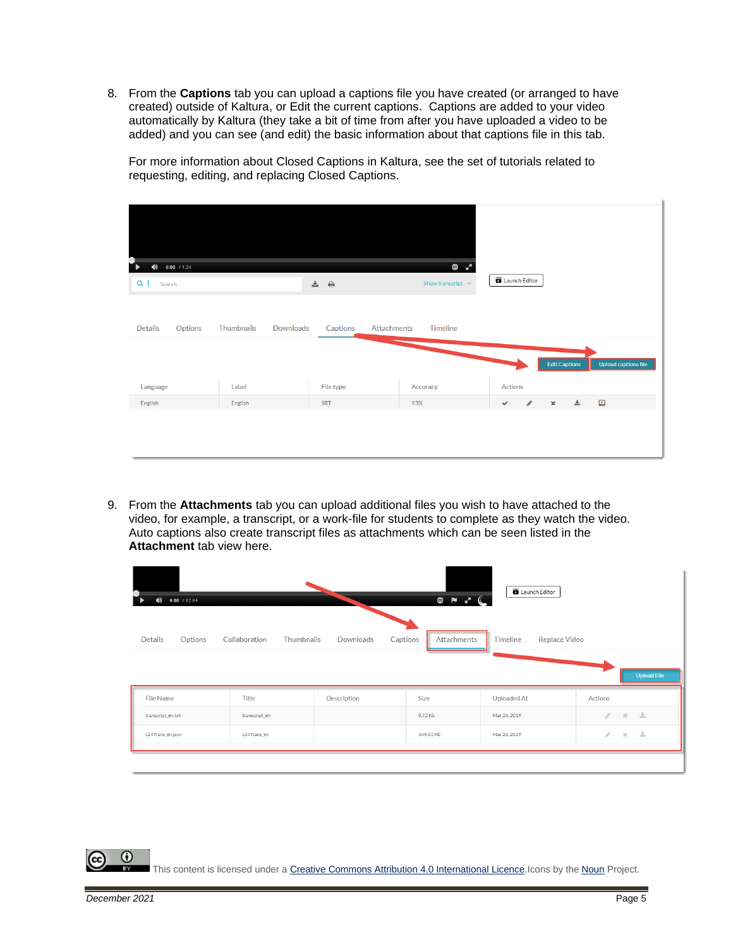8. From the **Captions** tab you can upload a captions file you have created (or arranged to have created) outside of Kaltura, or Edit the current captions. Captions are added to your video automatically by Kaltura (they take a bit of time from after you have uploaded a video to be added) and you can see (and edit) the basic information about that captions file in this tab.

For more information about Closed Captions in Kaltura, see the set of tutorials related to requesting, editing, and replacing Closed Captions.

| $\blacklozenge$<br>$0:00$ / 1:24         |                         |                                        | G<br>$\mathbf{r}^{\mathbf{R}}$           | <b>D</b> Launch Editor |                      |   |                      |
|------------------------------------------|-------------------------|----------------------------------------|------------------------------------------|------------------------|----------------------|---|----------------------|
| $Q \mid$<br>Search<br>Details<br>Options | Thumbnails<br>Downloads | $\pm$ $\pm$<br>Captions<br>Attachments | Show transcript $\;\;\vee\;$<br>Timeline |                        |                      |   |                      |
| Language                                 | Label                   | File type                              | Accuracy                                 | Actions                | <b>Edit Captions</b> |   | Upload captions file |
| English                                  | English                 | SRT                                    | 93%                                      | ◢<br>$\checkmark$      | $\pmb{\times}$       | 志 | 回                    |

9. From the **Attachments** tab you can upload additional files you wish to have attached to the video, for example, a transcript, or a work-file for students to complete as they watch the video. Auto captions also create transcript files as attachments which can be seen listed in the **Attachment** tab view here.

| $0:00$ / 12:04<br>$\blacklozenge$ |                             |                       | $\begin{array}{c} \circledast & \bullet \\ \circledast & \bullet \end{array}$ | Launch Editor             |                                         |
|-----------------------------------|-----------------------------|-----------------------|-------------------------------------------------------------------------------|---------------------------|-----------------------------------------|
| Details<br>Options                | Collaboration<br>Thumbnails | Captions<br>Downloads | Attachments                                                                   | Replace Video<br>Timeline | <b>Upload File</b>                      |
| File Name                         | Title                       | Description           | Size                                                                          | Uploaded At               | Actions                                 |
| transcript_en.txt                 | transcript_en               |                       | 8.72 Kb                                                                       | Mar 26, 2019              | 一些<br>P.<br>$\mathcal{M}$               |
| c24Trans_en.json                  | c24Trans en                 |                       | 349.03 Kb                                                                     | Mar 26, 2019              | $\mathcal{S} = \mathbb{X} - \mathbb{E}$ |
|                                   |                             |                       |                                                                               |                           |                                         |

This content is licensed under [a Creative Commons Attribution 4.0 International Licence.I](https://creativecommons.org/licenses/by/4.0/)cons by the [Noun](https://creativecommons.org/website-icons/) Project.

⋒